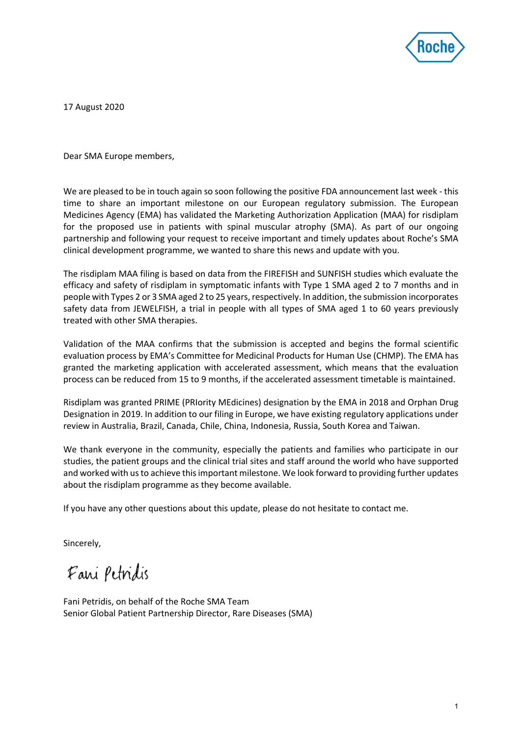

17 August 2020

Dear SMA Europe members,

We are pleased to be in touch again so soon following the positive FDA announcement last week - this time to share an important milestone on our European regulatory submission. The European Medicines Agency (EMA) has validated the Marketing Authorization Application (MAA) for risdiplam for the proposed use in patients with spinal muscular atrophy (SMA). As part of our ongoing partnership and following your request to receive important and timely updates about Roche's SMA clinical development programme, we wanted to share this news and update with you.

The risdiplam MAA filing is based on data from the FIREFISH and SUNFISH studies which evaluate the efficacy and safety of risdiplam in symptomatic infants with Type 1 SMA aged 2 to 7 months and in people with Types 2 or 3 SMA aged 2 to 25 years, respectively. In addition, the submission incorporates safety data from JEWELFISH, a trial in people with all types of SMA aged 1 to 60 years previously treated with other SMA therapies.

Validation of the MAA confirms that the submission is accepted and begins the formal scientific evaluation process by EMA's Committee for Medicinal Products for Human Use (CHMP). The EMA has granted the marketing application with accelerated assessment, which means that the evaluation process can be reduced from 15 to 9 months, if the accelerated assessment timetable is maintained.

Risdiplam was granted PRIME (PRIority MEdicines) designation by the EMA in 2018 and Orphan Drug Designation in 2019. In addition to our filing in Europe, we have existing regulatory applications under review in Australia, Brazil, Canada, Chile, China, Indonesia, Russia, South Korea and Taiwan.

We thank everyone in the community, especially the patients and families who participate in our studies, the patient groups and the clinical trial sites and staff around the world who have supported and worked with us to achieve this important milestone. We look forward to providing further updates about the risdiplam programme as they become available.

If you have any other questions about this update, please do not hesitate to contact me.

Sincerely,

Fani Petridis

Fani Petridis, on behalf of the Roche SMA Team Senior Global Patient Partnership Director, Rare Diseases (SMA)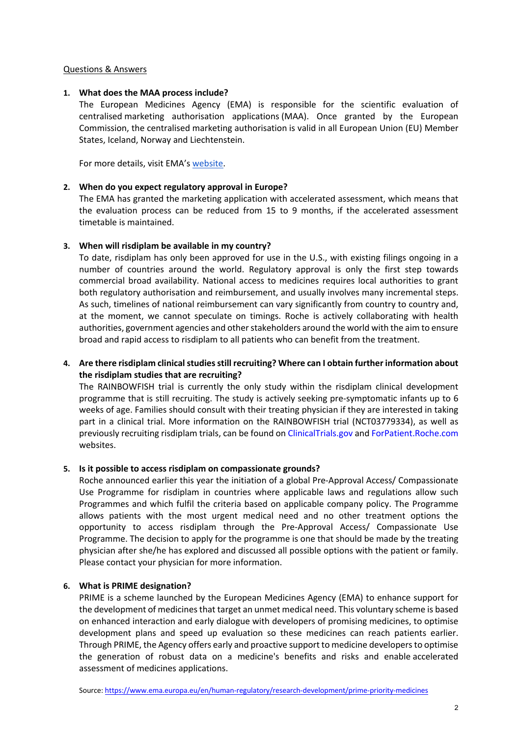## Questions & Answers

### **1. What does the MAA process include?**

The European Medicines Agency (EMA) is responsible for the scientific evaluation of centralised marketing authorisation applications (MAA). Once granted by the European Commission, the centralised marketing authorisation is valid in all European Union (EU) Member States, Iceland, Norway and Liechtenstein.

For more details, visit EMA's website.

### **2. When do you expect regulatory approval in Europe?**

The EMA has granted the marketing application with accelerated assessment, which means that the evaluation process can be reduced from 15 to 9 months, if the accelerated assessment timetable is maintained.

### **3. When will risdiplam be available in my country?**

To date, risdiplam has only been approved for use in the U.S., with existing filings ongoing in a number of countries around the world. Regulatory approval is only the first step towards commercial broad availability. National access to medicines requires local authorities to grant both regulatory authorisation and reimbursement, and usually involves many incremental steps. As such, timelines of national reimbursement can vary significantly from country to country and, at the moment, we cannot speculate on timings. Roche is actively collaborating with health authorities, government agencies and other stakeholders around the world with the aim to ensure broad and rapid access to risdiplam to all patients who can benefit from the treatment.

# **4. Are there risdiplam clinical studies still recruiting? Where can I obtain further information about the risdiplam studies that are recruiting?**

The RAINBOWFISH trial is currently the only study within the risdiplam clinical development programme that is still recruiting. The study is actively seeking pre-symptomatic infants up to 6 weeks of age. Families should consult with their treating physician if they are interested in taking part in a clinical trial. More information on the RAINBOWFISH trial (NCT03779334), as well as previously recruiting risdiplam trials, can be found on ClinicalTrials.gov and ForPatient.Roche.com websites.

## **5. Is it possible to access risdiplam on compassionate grounds?**

Roche announced earlier this year the initiation of a global Pre-Approval Access/ Compassionate Use Programme for risdiplam in countries where applicable laws and regulations allow such Programmes and which fulfil the criteria based on applicable company policy. The Programme allows patients with the most urgent medical need and no other treatment options the opportunity to access risdiplam through the Pre-Approval Access/ Compassionate Use Programme. The decision to apply for the programme is one that should be made by the treating physician after she/he has explored and discussed all possible options with the patient or family. Please contact your physician for more information.

## **6. What is PRIME designation?**

PRIME is a scheme launched by the European Medicines Agency (EMA) to enhance support for the development of medicines that target an unmet medical need. This voluntary scheme is based on enhanced interaction and early dialogue with developers of promising medicines, to optimise development plans and speed up evaluation so these medicines can reach patients earlier. Through PRIME, the Agency offers early and proactive support to medicine developers to optimise the generation of robust data on a medicine's benefits and risks and enable accelerated assessment of medicines applications.